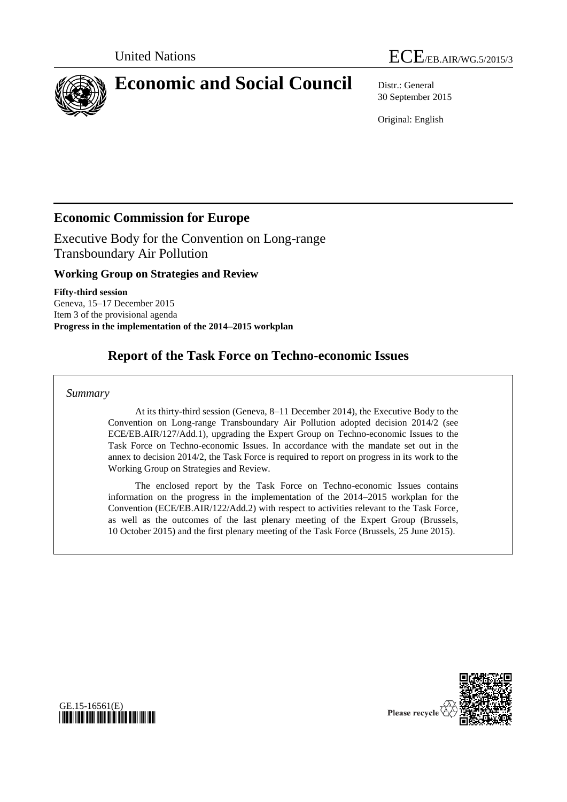



30 September 2015

Original: English

# **Economic Commission for Europe**

Executive Body for the Convention on Long-range Transboundary Air Pollution

## **Working Group on Strategies and Review**

**Fifty-third session** Geneva, 15–17 December 2015 Item 3 of the provisional agenda **Progress in the implementation of the 2014–2015 workplan**

# **Report of the Task Force on Techno-economic Issues**

### *Summary*

At its thirty-third session (Geneva, 8–11 December 2014), the Executive Body to the Convention on Long-range Transboundary Air Pollution adopted decision 2014/2 (see ECE/EB.AIR/127/Add.1), upgrading the Expert Group on Techno-economic Issues to the Task Force on Techno-economic Issues. In accordance with the mandate set out in the annex to decision 2014/2, the Task Force is required to report on progress in its work to the Working Group on Strategies and Review.

The enclosed report by the Task Force on Techno-economic Issues contains information on the progress in the implementation of the 2014–2015 workplan for the Convention (ECE/EB.AIR/122/Add.2) with respect to activities relevant to the Task Force, as well as the outcomes of the last plenary meeting of the Expert Group (Brussels, 10 October 2015) and the first plenary meeting of the Task Force (Brussels, 25 June 2015).



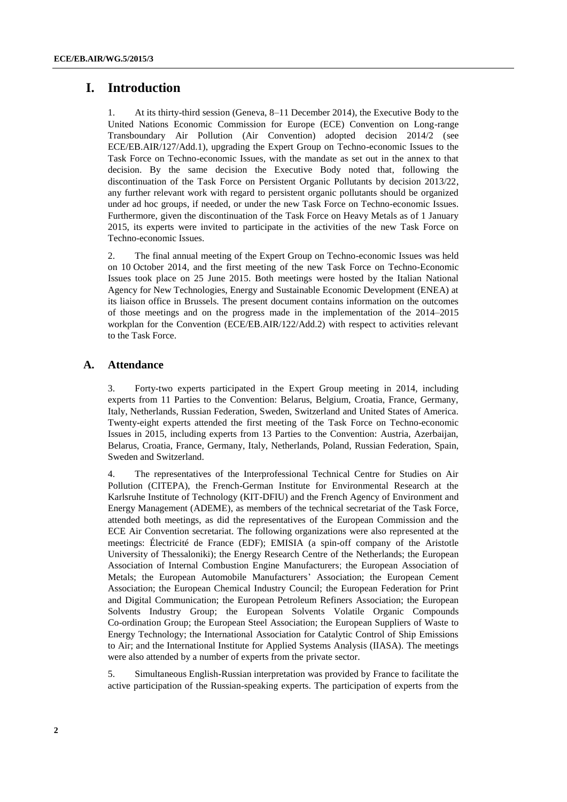## **I. Introduction**

1. At its thirty-third session (Geneva, 8–11 December 2014), the Executive Body to the United Nations Economic Commission for Europe (ECE) Convention on Long-range Transboundary Air Pollution (Air Convention) adopted decision 2014/2 (see ECE/EB.AIR/127/Add.1), upgrading the Expert Group on Techno-economic Issues to the Task Force on Techno-economic Issues, with the mandate as set out in the annex to that decision. By the same decision the Executive Body noted that, following the discontinuation of the Task Force on Persistent Organic Pollutants by decision 2013/22, any further relevant work with regard to persistent organic pollutants should be organized under ad hoc groups, if needed, or under the new Task Force on Techno-economic Issues. Furthermore, given the discontinuation of the Task Force on Heavy Metals as of 1 January 2015, its experts were invited to participate in the activities of the new Task Force on Techno-economic Issues.

2. The final annual meeting of the Expert Group on Techno-economic Issues was held on 10 October 2014, and the first meeting of the new Task Force on Techno-Economic Issues took place on 25 June 2015. Both meetings were hosted by the Italian National Agency for New Technologies, Energy and Sustainable Economic Development (ENEA) at its liaison office in Brussels. The present document contains information on the outcomes of those meetings and on the progress made in the implementation of the 2014–2015 workplan for the Convention (ECE/EB.AIR/122/Add.2) with respect to activities relevant to the Task Force.

### **A. Attendance**

3. Forty-two experts participated in the Expert Group meeting in 2014, including experts from 11 Parties to the Convention: Belarus, Belgium, Croatia, France, Germany, Italy, Netherlands, Russian Federation, Sweden, Switzerland and United States of America. Twenty-eight experts attended the first meeting of the Task Force on Techno-economic Issues in 2015, including experts from 13 Parties to the Convention: Austria, Azerbaijan, Belarus, Croatia, France, Germany, Italy, Netherlands, Poland, Russian Federation, Spain, Sweden and Switzerland.

4. The representatives of the Interprofessional Technical Centre for Studies on Air Pollution (CITEPA), the French-German Institute for Environmental Research at the Karlsruhe Institute of Technology (KIT-DFIU) and the French Agency of Environment and Energy Management (ADEME), as members of the technical secretariat of the Task Force, attended both meetings, as did the representatives of the European Commission and the ECE Air Convention secretariat. The following organizations were also represented at the meetings: [Électricité de France](https://it.wikipedia.org/wiki/%C3%89lectricit%C3%A9_de_France) (EDF); EMISIA (a spin-off company of the Aristotle University of Thessaloniki); the Energy Research Centre of the Netherlands; the European Association of Internal Combustion Engine Manufacturers; the European Association of Metals; the European Automobile Manufacturers' Association; the European Cement Association; the European Chemical Industry Council; the European Federation for Print and Digital Communication; the European Petroleum Refiners Association; the European Solvents Industry Group; the European Solvents Volatile Organic Compounds Co-ordination Group; the European Steel Association; the European Suppliers of Waste to Energy Technology; the International Association for Catalytic Control of Ship Emissions to Air; and the International Institute for Applied Systems Analysis (IIASA). The meetings were also attended by a number of experts from the private sector.

5. Simultaneous English-Russian interpretation was provided by France to facilitate the active participation of the Russian-speaking experts. The participation of experts from the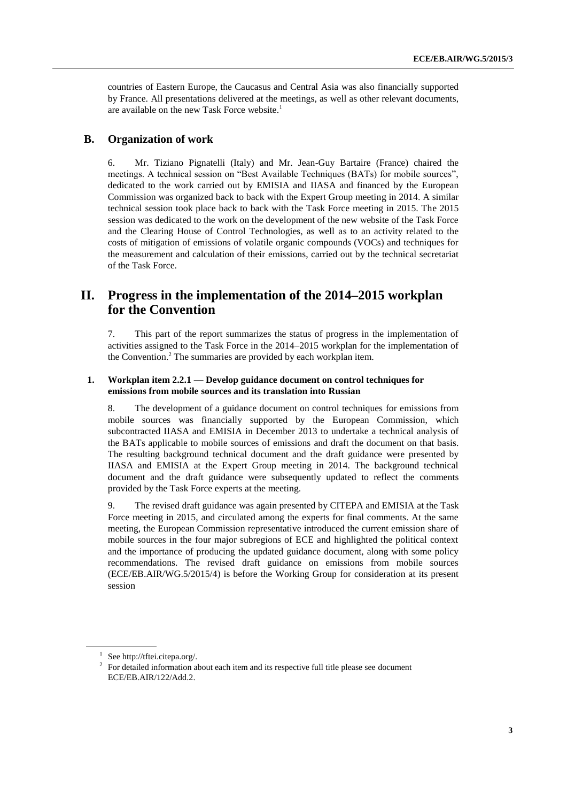countries of Eastern Europe, the Caucasus and Central Asia was also financially supported by France. All presentations delivered at the meetings, as well as other relevant documents, are available on the new Task Force website. 1

### **B. Organization of work**

6. Mr. Tiziano Pignatelli (Italy) and Mr. Jean-Guy Bartaire (France) chaired the meetings. A technical session on "Best Available Techniques (BATs) for mobile sources", dedicated to the work carried out by EMISIA and IIASA and financed by the European Commission was organized back to back with the Expert Group meeting in 2014. A similar technical session took place back to back with the Task Force meeting in 2015. The 2015 session was dedicated to the work on the development of the new website of the Task Force and the Clearing House of Control Technologies, as well as to an activity related to the costs of mitigation of emissions of volatile organic compounds (VOCs) and techniques for the measurement and calculation of their emissions, carried out by the technical secretariat of the Task Force.

## **II. Progress in the implementation of the 2014–2015 workplan for the Convention**

7. This part of the report summarizes the status of progress in the implementation of activities assigned to the Task Force in the 2014–2015 workplan for the implementation of the Convention.<sup>2</sup> The summaries are provided by each workplan item.

#### **1. Workplan item 2.2.1 — Develop guidance document on control techniques for emissions from mobile sources and its translation into Russian**

8. The development of a guidance document on control techniques for emissions from mobile sources was financially supported by the European Commission, which subcontracted IIASA and EMISIA in December 2013 to undertake a technical analysis of the BATs applicable to mobile sources of emissions and draft the document on that basis. The resulting background technical document and the draft guidance were presented by IIASA and EMISIA at the Expert Group meeting in 2014. The background technical document and the draft guidance were subsequently updated to reflect the comments provided by the Task Force experts at the meeting.

9. The revised draft guidance was again presented by CITEPA and EMISIA at the Task Force meeting in 2015, and circulated among the experts for final comments. At the same meeting, the European Commission representative introduced the current emission share of mobile sources in the four major subregions of ECE and highlighted the political context and the importance of producing the updated guidance document, along with some policy recommendations. The revised draft guidance on emissions from mobile sources (ECE/EB.AIR/WG.5/2015/4) is before the Working Group for consideration at its present session

<sup>&</sup>lt;sup>1</sup> See [http://tftei.citepa.org/.](http://tftei.citepa.org/)

 $2$  For detailed information about each item and its respective full title please see document ECE/EB.AIR/122/Add.2.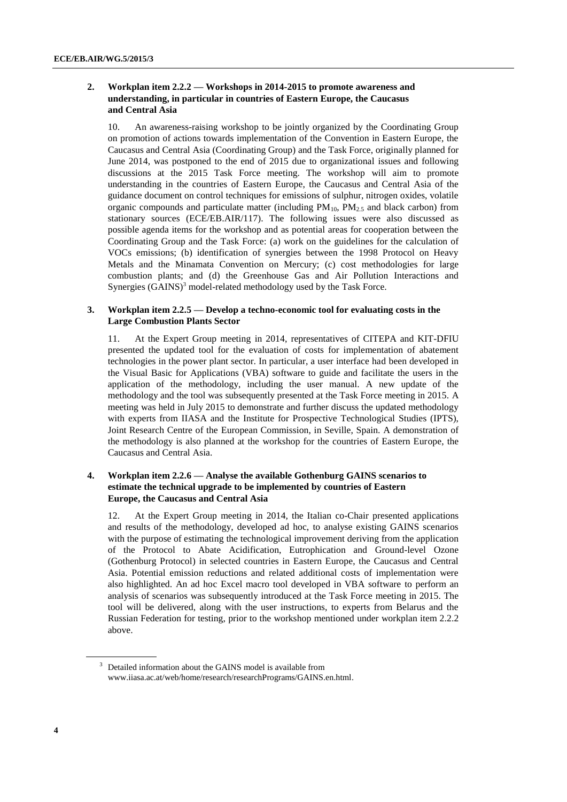#### **2. Workplan item 2.2.2 — Workshops in 2014-2015 to promote awareness and understanding, in particular in countries of Eastern Europe, the Caucasus and Central Asia**

10. An awareness-raising workshop to be jointly organized by the Coordinating Group on promotion of actions towards implementation of the Convention in Eastern Europe, the Caucasus and Central Asia (Coordinating Group) and the Task Force, originally planned for June 2014, was postponed to the end of 2015 due to organizational issues and following discussions at the 2015 Task Force meeting. The workshop will aim to promote understanding in the countries of Eastern Europe, the Caucasus and Central Asia of the guidance document on control techniques for emissions of sulphur, nitrogen oxides, volatile organic compounds and particulate matter (including  $PM_{10}$ ,  $PM_{2.5}$  and black carbon) from stationary sources (ECE/EB.AIR/117). The following issues were also discussed as possible agenda items for the workshop and as potential areas for cooperation between the Coordinating Group and the Task Force: (a) work on the guidelines for the calculation of VOCs emissions; (b) identification of synergies between the 1998 Protocol on Heavy Metals and the Minamata Convention on Mercury; (c) cost methodologies for large combustion plants; and (d) the Greenhouse Gas and Air Pollution Interactions and Synergies (GAINS)<sup>3</sup> model-related methodology used by the Task Force.

#### **3. Workplan item 2.2.5 — Develop a techno-economic tool for evaluating costs in the Large Combustion Plants Sector**

11. At the Expert Group meeting in 2014, representatives of CITEPA and KIT-DFIU presented the updated tool for the evaluation of costs for implementation of abatement technologies in the power plant sector. In particular, a user interface had been developed in the Visual Basic for Applications (VBA) software to guide and facilitate the users in the application of the methodology, including the user manual. A new update of the methodology and the tool was subsequently presented at the Task Force meeting in 2015. A meeting was held in July 2015 to demonstrate and further discuss the updated methodology with experts from IIASA and the Institute for Prospective Technological Studies (IPTS), Joint Research Centre of the European Commission, in Seville, Spain. A demonstration of the methodology is also planned at the workshop for the countries of Eastern Europe, the Caucasus and Central Asia.

#### **4. Workplan item 2.2.6 — Analyse the available Gothenburg GAINS scenarios to estimate the technical upgrade to be implemented by countries of Eastern Europe, the Caucasus and Central Asia**

12. At the Expert Group meeting in 2014, the Italian co-Chair presented applications and results of the methodology, developed ad hoc, to analyse existing GAINS scenarios with the purpose of estimating the technological improvement deriving from the application of the Protocol to Abate Acidification, Eutrophication and Ground-level Ozone (Gothenburg Protocol) in selected countries in Eastern Europe, the Caucasus and Central Asia. Potential emission reductions and related additional costs of implementation were also highlighted. An ad hoc Excel macro tool developed in VBA software to perform an analysis of scenarios was subsequently introduced at the Task Force meeting in 2015. The tool will be delivered, along with the user instructions, to experts from Belarus and the Russian Federation for testing, prior to the workshop mentioned under workplan item 2.2.2 above.

<sup>&</sup>lt;sup>3</sup> Detailed information about the GAINS model is available from [www.iiasa.ac.at/web/home/research/researchPrograms/GAINS.en.html.](http://www.iiasa.ac.at/web/home/research/researchPrograms/GAINS.en.html)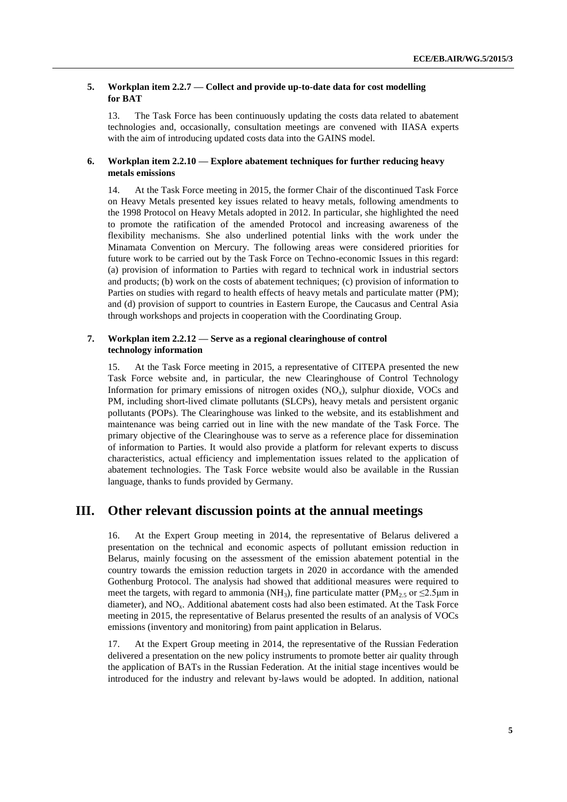#### **5. Workplan item 2.2.7 — Collect and provide up-to-date data for cost modelling for BAT**

13. The Task Force has been continuously updating the costs data related to abatement technologies and, occasionally, consultation meetings are convened with IIASA experts with the aim of introducing updated costs data into the GAINS model.

#### **6. Workplan item 2.2.10 — Explore abatement techniques for further reducing heavy metals emissions**

14. At the Task Force meeting in 2015, the former Chair of the discontinued Task Force on Heavy Metals presented key issues related to heavy metals, following amendments to the 1998 Protocol on Heavy Metals adopted in 2012. In particular, she highlighted the need to promote the ratification of the amended Protocol and increasing awareness of the flexibility mechanisms. She also underlined potential links with the work under the Minamata Convention on Mercury. The following areas were considered priorities for future work to be carried out by the Task Force on Techno-economic Issues in this regard: (a) provision of information to Parties with regard to technical work in industrial sectors and products; (b) work on the costs of abatement techniques; (c) provision of information to Parties on studies with regard to health effects of heavy metals and particulate matter (PM); and (d) provision of support to countries in Eastern Europe, the Caucasus and Central Asia through workshops and projects in cooperation with the Coordinating Group.

#### **7. Workplan item 2.2.12 — Serve as a regional clearinghouse of control technology information**

15. At the Task Force meeting in 2015, a representative of CITEPA presented the new Task Force website and, in particular, the new Clearinghouse of Control Technology Information for primary emissions of nitrogen oxides  $(NO<sub>x</sub>)$ , sulphur dioxide, VOCs and PM, including short-lived climate pollutants (SLCPs), heavy metals and persistent organic pollutants (POPs). The Clearinghouse was linked to the website, and its establishment and maintenance was being carried out in line with the new mandate of the Task Force. The primary objective of the Clearinghouse was to serve as a reference place for dissemination of information to Parties. It would also provide a platform for relevant experts to discuss characteristics, actual efficiency and implementation issues related to the application of abatement technologies. The Task Force website would also be available in the Russian language, thanks to funds provided by Germany.

## **III. Other relevant discussion points at the annual meetings**

16. At the Expert Group meeting in 2014, the representative of Belarus delivered a presentation on the technical and economic aspects of pollutant emission reduction in Belarus, mainly focusing on the assessment of the emission abatement potential in the country towards the emission reduction targets in 2020 in accordance with the amended Gothenburg Protocol. The analysis had showed that additional measures were required to meet the targets, with regard to ammonia ( $NH<sub>3</sub>$ ), fine particulate matter ( $PM<sub>2.5</sub>$  or  $\leq$ 2.5 µm in diameter), and  $NO<sub>x</sub>$ . Additional abatement costs had also been estimated. At the Task Force meeting in 2015, the representative of Belarus presented the results of an analysis of VOCs emissions (inventory and monitoring) from paint application in Belarus.

17. At the Expert Group meeting in 2014, the representative of the Russian Federation delivered a presentation on the new policy instruments to promote better air quality through the application of BATs in the Russian Federation. At the initial stage incentives would be introduced for the industry and relevant by-laws would be adopted. In addition, national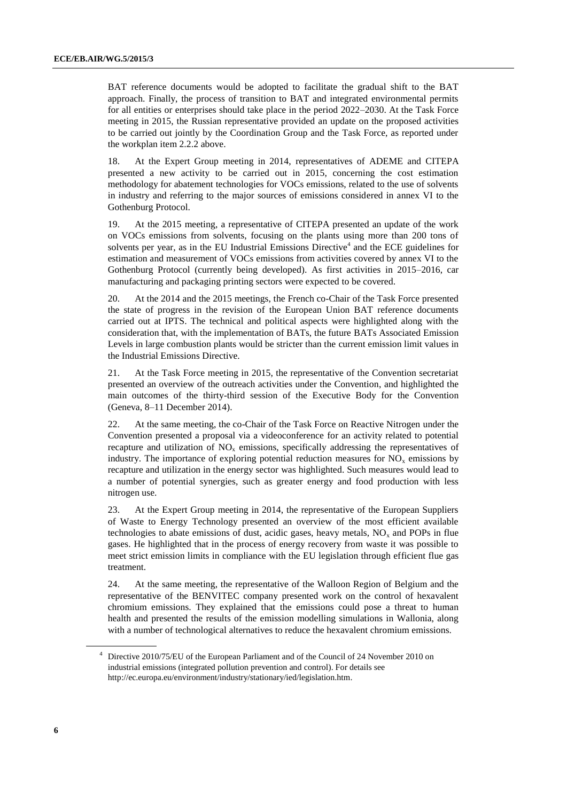BAT reference documents would be adopted to facilitate the gradual shift to the BAT approach. Finally, the process of transition to BAT and integrated environmental permits for all entities or enterprises should take place in the period 2022–2030. At the Task Force meeting in 2015, the Russian representative provided an update on the proposed activities to be carried out jointly by the Coordination Group and the Task Force, as reported under the workplan item 2.2.2 above.

18. At the Expert Group meeting in 2014, representatives of ADEME and CITEPA presented a new activity to be carried out in 2015, concerning the cost estimation methodology for abatement technologies for VOCs emissions, related to the use of solvents in industry and referring to the major sources of emissions considered in annex VI to the Gothenburg Protocol.

19. At the 2015 meeting, a representative of CITEPA presented an update of the work on VOCs emissions from solvents, focusing on the plants using more than 200 tons of solvents per year, as in the EU Industrial Emissions Directive<sup>4</sup> and the ECE guidelines for estimation and measurement of VOCs emissions from activities covered by annex VI to the Gothenburg Protocol (currently being developed). As first activities in 2015–2016, car manufacturing and packaging printing sectors were expected to be covered.

20. At the 2014 and the 2015 meetings, the French co-Chair of the Task Force presented the state of progress in the revision of the European Union BAT reference documents carried out at IPTS. The technical and political aspects were highlighted along with the consideration that, with the implementation of BATs, the future BATs Associated Emission Levels in large combustion plants would be stricter than the current emission limit values in the Industrial Emissions Directive.

21. At the Task Force meeting in 2015, the representative of the Convention secretariat presented an overview of the outreach activities under the Convention, and highlighted the main outcomes of the thirty-third session of the Executive Body for the Convention (Geneva, 8–11 December 2014).

22. At the same meeting, the co-Chair of the Task Force on Reactive Nitrogen under the Convention presented a proposal via a videoconference for an activity related to potential recapture and utilization of  $NO<sub>x</sub>$  emissions, specifically addressing the representatives of industry. The importance of exploring potential reduction measures for  $NO<sub>x</sub>$  emissions by recapture and utilization in the energy sector was highlighted. Such measures would lead to a number of potential synergies, such as greater energy and food production with less nitrogen use.

23. At the Expert Group meeting in 2014, the representative of the European Suppliers of Waste to Energy Technology presented an overview of the most efficient available technologies to abate emissions of dust, acidic gases, heavy metals,  $NO<sub>x</sub>$  and POPs in flue gases. He highlighted that in the process of energy recovery from waste it was possible to meet strict emission limits in compliance with the EU legislation through efficient flue gas treatment.

24. At the same meeting, the representative of the Walloon Region of Belgium and the representative of the BENVITEC company presented work on the control of hexavalent chromium emissions. They explained that the emissions could pose a threat to human health and presented the results of the emission modelling simulations in Wallonia, along with a number of technological alternatives to reduce the hexavalent chromium emissions.

<sup>4</sup> Directive 2010/75/EU of the European Parliament and of the Council of 24 November 2010 on industrial emissions (integrated pollution prevention and control). For details see [http://ec.europa.eu/environment/industry/stationary/ied/legislation.htm.](http://ec.europa.eu/environment/industry/stationary/ied/legislation.htm)